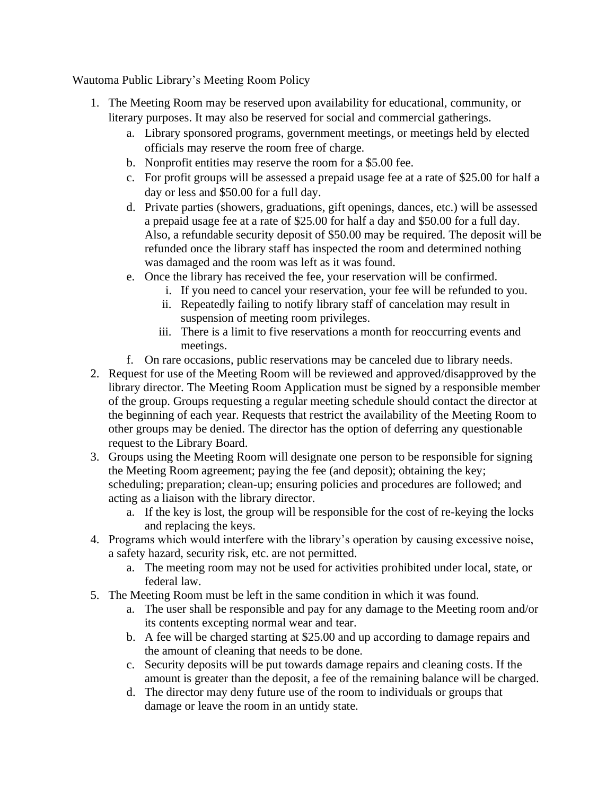Wautoma Public Library's Meeting Room Policy

- 1. The Meeting Room may be reserved upon availability for educational, community, or literary purposes. It may also be reserved for social and commercial gatherings.
	- a. Library sponsored programs, government meetings, or meetings held by elected officials may reserve the room free of charge.
	- b. Nonprofit entities may reserve the room for a \$5.00 fee.
	- c. For profit groups will be assessed a prepaid usage fee at a rate of \$25.00 for half a day or less and \$50.00 for a full day.
	- d. Private parties (showers, graduations, gift openings, dances, etc.) will be assessed a prepaid usage fee at a rate of \$25.00 for half a day and \$50.00 for a full day. Also, a refundable security deposit of \$50.00 may be required. The deposit will be refunded once the library staff has inspected the room and determined nothing was damaged and the room was left as it was found.
	- e. Once the library has received the fee, your reservation will be confirmed.
		- i. If you need to cancel your reservation, your fee will be refunded to you.
		- ii. Repeatedly failing to notify library staff of cancelation may result in suspension of meeting room privileges.
		- iii. There is a limit to five reservations a month for reoccurring events and meetings.
	- f. On rare occasions, public reservations may be canceled due to library needs.
- 2. Request for use of the Meeting Room will be reviewed and approved/disapproved by the library director. The Meeting Room Application must be signed by a responsible member of the group. Groups requesting a regular meeting schedule should contact the director at the beginning of each year. Requests that restrict the availability of the Meeting Room to other groups may be denied. The director has the option of deferring any questionable request to the Library Board.
- 3. Groups using the Meeting Room will designate one person to be responsible for signing the Meeting Room agreement; paying the fee (and deposit); obtaining the key; scheduling; preparation; clean-up; ensuring policies and procedures are followed; and acting as a liaison with the library director.
	- a. If the key is lost, the group will be responsible for the cost of re-keying the locks and replacing the keys.
- 4. Programs which would interfere with the library's operation by causing excessive noise, a safety hazard, security risk, etc. are not permitted.
	- a. The meeting room may not be used for activities prohibited under local, state, or federal law.
- 5. The Meeting Room must be left in the same condition in which it was found.
	- a. The user shall be responsible and pay for any damage to the Meeting room and/or its contents excepting normal wear and tear.
	- b. A fee will be charged starting at \$25.00 and up according to damage repairs and the amount of cleaning that needs to be done.
	- c. Security deposits will be put towards damage repairs and cleaning costs. If the amount is greater than the deposit, a fee of the remaining balance will be charged.
	- d. The director may deny future use of the room to individuals or groups that damage or leave the room in an untidy state.